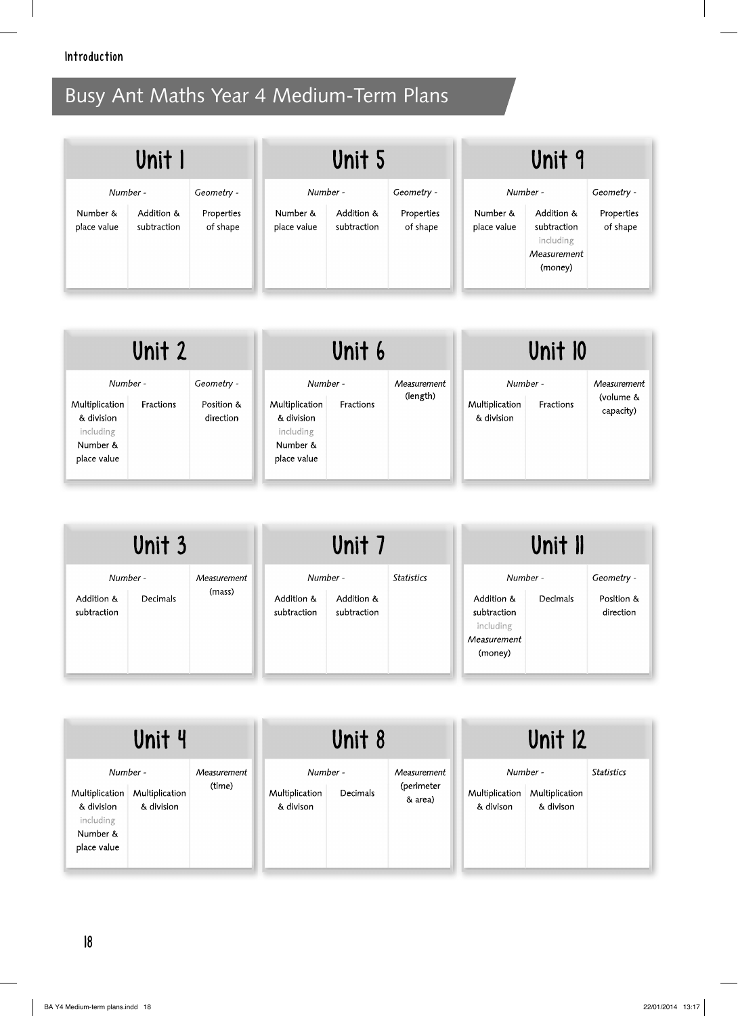| Unit I                  |                           | Unit 5                 |                         | Unit 9                    |                        |                         |                                                                  |                        |
|-------------------------|---------------------------|------------------------|-------------------------|---------------------------|------------------------|-------------------------|------------------------------------------------------------------|------------------------|
| Number -                |                           | Geometry -             | Number -                |                           | Geometry -             |                         | Number -                                                         | Geometry -             |
| Number &<br>place value | Addition &<br>subtraction | Properties<br>of shape | Number &<br>place value | Addition &<br>subtraction | Properties<br>of shape | Number &<br>place value | Addition &<br>subtraction<br>including<br>Measurement<br>(money) | Properties<br>of shape |

| Unit 2                                                                           |           | Unit 6                                |                                                                                  |           | Unit 10                 |                                          |           |                                       |
|----------------------------------------------------------------------------------|-----------|---------------------------------------|----------------------------------------------------------------------------------|-----------|-------------------------|------------------------------------------|-----------|---------------------------------------|
| Number -<br>Multiplication<br>& division<br>including<br>Number &<br>place value | Fractions | Geometry -<br>Position &<br>direction | Number -<br>Multiplication<br>& division<br>including<br>Number &<br>place value | Fractions | Measurement<br>(length) | Number -<br>Multiplication<br>& division | Fractions | Measurement<br>(volume &<br>capacity) |

| Unit 3                                |          | Unit 7                |                           | Unit II                               |                   |                                                                              |          |                                       |
|---------------------------------------|----------|-----------------------|---------------------------|---------------------------------------|-------------------|------------------------------------------------------------------------------|----------|---------------------------------------|
| Number -<br>Addition &<br>subtraction | Decimals | Measurement<br>(mass) | Addition &<br>subtraction | Number -<br>Addition &<br>subtraction | <b>Statistics</b> | Number -<br>Addition &<br>subtraction<br>including<br>Measurement<br>(money) | Decimals | Geometry -<br>Position &<br>direction |

| Unit 4                                                                           |                              |                       | Unit 8                                  |          |                                      | <b>Unit 12</b>                          |                             |                   |
|----------------------------------------------------------------------------------|------------------------------|-----------------------|-----------------------------------------|----------|--------------------------------------|-----------------------------------------|-----------------------------|-------------------|
| Number -<br>Multiplication<br>& division<br>including<br>Number &<br>place value | Multiplication<br>& division | Measurement<br>(time) | Number -<br>Multiplication<br>& divison | Decimals | Measurement<br>(perimeter<br>& area) | Number -<br>Multiplication<br>& divison | Multiplication<br>& divison | <b>Statistics</b> |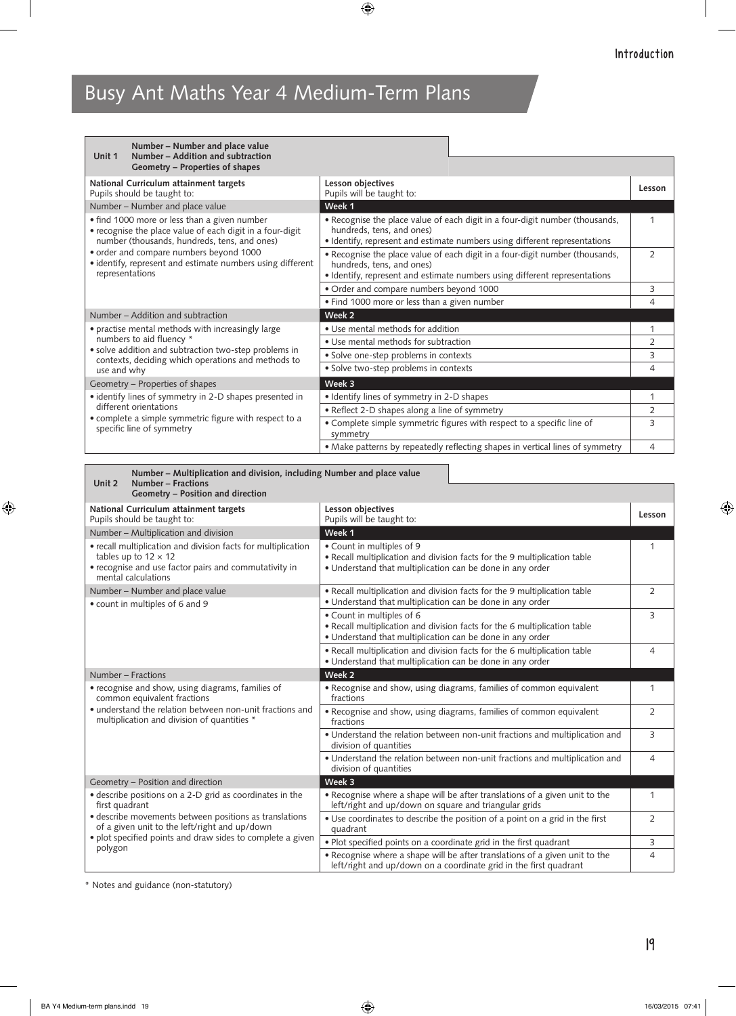| Unit 1                                                                                                                                                                                                                                                                              | Number – Number and place value<br>Number - Addition and subtraction                                        |                                                                                                                                                                                         |                |  |
|-------------------------------------------------------------------------------------------------------------------------------------------------------------------------------------------------------------------------------------------------------------------------------------|-------------------------------------------------------------------------------------------------------------|-----------------------------------------------------------------------------------------------------------------------------------------------------------------------------------------|----------------|--|
|                                                                                                                                                                                                                                                                                     | Geometry – Properties of shapes                                                                             |                                                                                                                                                                                         |                |  |
|                                                                                                                                                                                                                                                                                     | National Curriculum attainment targets<br>Pupils should be taught to:                                       | Lesson objectives<br>Pupils will be taught to:                                                                                                                                          | Lesson         |  |
|                                                                                                                                                                                                                                                                                     | Number - Number and place value                                                                             | Week 1                                                                                                                                                                                  |                |  |
| • find 1000 more or less than a given number<br>• recognise the place value of each digit in a four-digit<br>number (thousands, hundreds, tens, and ones)<br>order and compare numbers beyond 1000<br>• identify, represent and estimate numbers using different<br>representations |                                                                                                             | • Recognise the place value of each digit in a four-digit number (thousands,<br>hundreds, tens, and ones)<br>• Identify, represent and estimate numbers using different representations | 1              |  |
|                                                                                                                                                                                                                                                                                     |                                                                                                             | • Recognise the place value of each digit in a four-digit number (thousands,<br>hundreds, tens, and ones)                                                                               |                |  |
|                                                                                                                                                                                                                                                                                     |                                                                                                             | • Identify, represent and estimate numbers using different representations                                                                                                              |                |  |
|                                                                                                                                                                                                                                                                                     |                                                                                                             | · Order and compare numbers beyond 1000                                                                                                                                                 |                |  |
|                                                                                                                                                                                                                                                                                     |                                                                                                             | . Find 1000 more or less than a given number                                                                                                                                            |                |  |
|                                                                                                                                                                                                                                                                                     | Number – Addition and subtraction                                                                           | Week <sub>2</sub>                                                                                                                                                                       |                |  |
|                                                                                                                                                                                                                                                                                     | · practise mental methods with increasingly large                                                           | · Use mental methods for addition                                                                                                                                                       | 1              |  |
|                                                                                                                                                                                                                                                                                     | numbers to aid fluency *                                                                                    | • Use mental methods for subtraction                                                                                                                                                    | 2              |  |
|                                                                                                                                                                                                                                                                                     | • solve addition and subtraction two-step problems in<br>contexts, deciding which operations and methods to | · Solve one-step problems in contexts                                                                                                                                                   | 3              |  |
| use and why                                                                                                                                                                                                                                                                         |                                                                                                             | • Solve two-step problems in contexts                                                                                                                                                   | 4              |  |
|                                                                                                                                                                                                                                                                                     | Geometry - Properties of shapes                                                                             | Week 3                                                                                                                                                                                  |                |  |
|                                                                                                                                                                                                                                                                                     | · identify lines of symmetry in 2-D shapes presented in                                                     | • Identify lines of symmetry in 2-D shapes                                                                                                                                              | $\mathbf{1}$   |  |
|                                                                                                                                                                                                                                                                                     | different orientations                                                                                      | · Reflect 2-D shapes along a line of symmetry                                                                                                                                           | $\overline{2}$ |  |
|                                                                                                                                                                                                                                                                                     | • complete a simple symmetric figure with respect to a<br>specific line of symmetry                         | • Complete simple symmetric figures with respect to a specific line of<br>symmetry                                                                                                      | 3              |  |
|                                                                                                                                                                                                                                                                                     |                                                                                                             | • Make patterns by repeatedly reflecting shapes in vertical lines of symmetry                                                                                                           | 4              |  |

|        | Number – Multiplication and division, including Number and place value |
|--------|------------------------------------------------------------------------|
| Unit 2 | Number – Fractions                                                     |
|        | Geometry – Position and direction                                      |

| National Curriculum attainment targets<br>Pupils should be taught to:                                                                                                        | Lesson objectives<br>Pupils will be taught to:                                                                                                                      | Lesson         |
|------------------------------------------------------------------------------------------------------------------------------------------------------------------------------|---------------------------------------------------------------------------------------------------------------------------------------------------------------------|----------------|
| Number - Multiplication and division                                                                                                                                         | Week 1                                                                                                                                                              |                |
| • recall multiplication and division facts for multiplication<br>tables up to $12 \times 12$<br>• recognise and use factor pairs and commutativity in<br>mental calculations | • Count in multiples of 9<br>• Recall multiplication and division facts for the 9 multiplication table<br>· Understand that multiplication can be done in any order | 1              |
| Number – Number and place value<br>• count in multiples of 6 and 9                                                                                                           | • Recall multiplication and division facts for the 9 multiplication table<br>• Understand that multiplication can be done in any order                              | 2              |
|                                                                                                                                                                              | • Count in multiples of 6<br>• Recall multiplication and division facts for the 6 multiplication table<br>• Understand that multiplication can be done in any order | 3              |
|                                                                                                                                                                              | . Recall multiplication and division facts for the 6 multiplication table<br>• Understand that multiplication can be done in any order                              | 4              |
| Number – Fractions                                                                                                                                                           | Week 2                                                                                                                                                              |                |
| • recognise and show, using diagrams, families of<br>common equivalent fractions                                                                                             | • Recognise and show, using diagrams, families of common equivalent<br>fractions                                                                                    | 1              |
| • understand the relation between non-unit fractions and<br>multiplication and division of quantities *                                                                      | • Recognise and show, using diagrams, families of common equivalent<br>fractions                                                                                    | $\overline{2}$ |
|                                                                                                                                                                              | . Understand the relation between non-unit fractions and multiplication and<br>division of quantities                                                               | 3              |
|                                                                                                                                                                              | . Understand the relation between non-unit fractions and multiplication and<br>division of quantities                                                               | 4              |
| Geometry - Position and direction                                                                                                                                            | Week 3                                                                                                                                                              |                |
| • describe positions on a 2-D grid as coordinates in the<br>first quadrant                                                                                                   | • Recognise where a shape will be after translations of a given unit to the<br>left/right and up/down on square and triangular grids                                | 1              |
| • describe movements between positions as translations<br>of a given unit to the left/right and up/down                                                                      | • Use coordinates to describe the position of a point on a grid in the first<br>quadrant                                                                            | $\overline{2}$ |
| • plot specified points and draw sides to complete a given<br>polygon                                                                                                        | • Plot specified points on a coordinate grid in the first quadrant                                                                                                  | 3              |
|                                                                                                                                                                              | • Recognise where a shape will be after translations of a given unit to the<br>left/right and up/down on a coordinate grid in the first quadrant                    | 4              |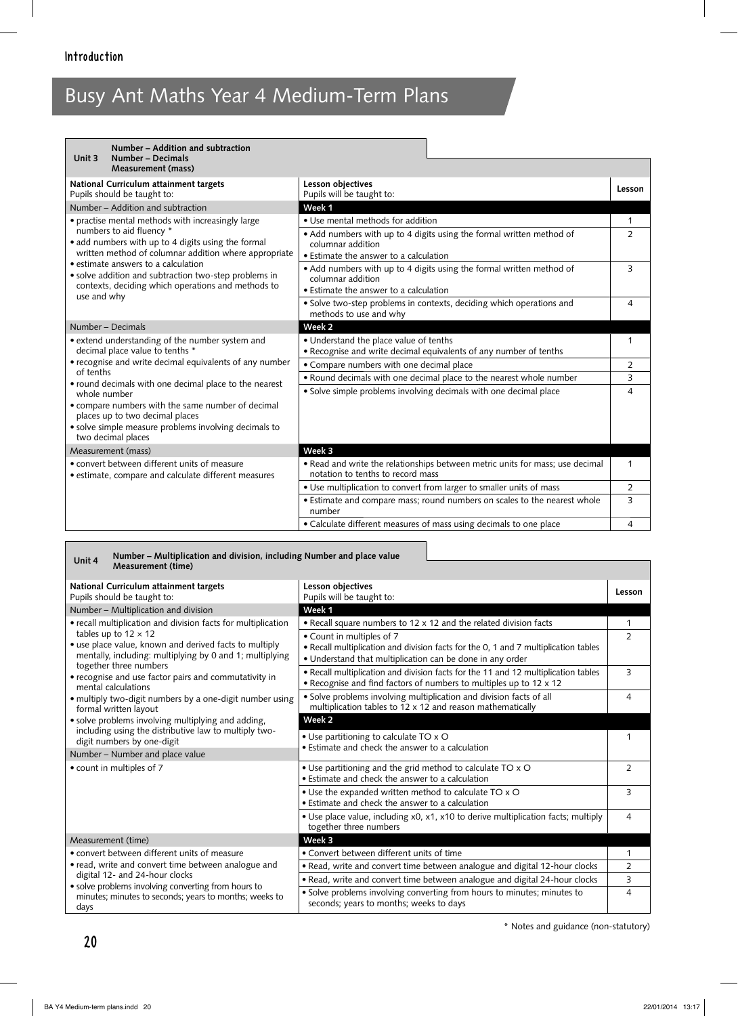| Number - Addition and subtraction<br>Number - Decimals<br>Unit 3                                                                                                                             |                                                                                                                                                                          |                     |
|----------------------------------------------------------------------------------------------------------------------------------------------------------------------------------------------|--------------------------------------------------------------------------------------------------------------------------------------------------------------------------|---------------------|
| <b>Measurement (mass)</b>                                                                                                                                                                    |                                                                                                                                                                          |                     |
| National Curriculum attainment targets<br>Pupils should be taught to:                                                                                                                        | Lesson objectives<br>Pupils will be taught to:                                                                                                                           | Lesson              |
| Number - Addition and subtraction                                                                                                                                                            | Week 1                                                                                                                                                                   |                     |
| • practise mental methods with increasingly large<br>numbers to aid fluency *<br>• add numbers with up to 4 digits using the formal<br>written method of columnar addition where appropriate | • Use mental methods for addition<br>• Add numbers with up to 4 digits using the formal written method of<br>columnar addition<br>• Estimate the answer to a calculation | 1<br>$\overline{2}$ |
| • estimate answers to a calculation<br>• solve addition and subtraction two-step problems in<br>contexts, deciding which operations and methods to<br>use and why                            | • Add numbers with up to 4 digits using the formal written method of<br>columnar addition<br>• Estimate the answer to a calculation                                      | 3                   |
|                                                                                                                                                                                              | · Solve two-step problems in contexts, deciding which operations and<br>methods to use and why                                                                           | 4                   |
| Number – Decimals                                                                                                                                                                            | Week <sub>2</sub>                                                                                                                                                        |                     |
| • extend understanding of the number system and<br>decimal place value to tenths *                                                                                                           | • Understand the place value of tenths<br>• Recognise and write decimal equivalents of any number of tenths                                                              | 1                   |
| • recognise and write decimal equivalents of any number                                                                                                                                      | • Compare numbers with one decimal place                                                                                                                                 | $\overline{2}$      |
| of tenths<br>• round decimals with one decimal place to the nearest                                                                                                                          | . Round decimals with one decimal place to the nearest whole number                                                                                                      | 3                   |
| whole number<br>• compare numbers with the same number of decimal<br>places up to two decimal places<br>· solve simple measure problems involving decimals to<br>two decimal places          | • Solve simple problems involving decimals with one decimal place                                                                                                        | 4                   |
| Measurement (mass)                                                                                                                                                                           | Week 3                                                                                                                                                                   |                     |
| • convert between different units of measure<br>• estimate, compare and calculate different measures                                                                                         | . Read and write the relationships between metric units for mass; use decimal<br>notation to tenths to record mass                                                       | $\mathbf{1}$        |
|                                                                                                                                                                                              | • Use multiplication to convert from larger to smaller units of mass                                                                                                     | 2                   |
|                                                                                                                                                                                              | • Estimate and compare mass; round numbers on scales to the nearest whole<br>number                                                                                      | 3                   |
|                                                                                                                                                                                              | • Calculate different measures of mass using decimals to one place                                                                                                       | 4                   |

#### **Unit 4 Number – Multiplication and division, including Number and place value Measurement (time)**

| National Curriculum attainment targets<br>Pupils should be taught to:                                                                                                                                                                                                                                                                                                                                                                                                                                                                                         | Lesson objectives<br>Pupils will be taught to:                                                                                                                                | Lesson         |
|---------------------------------------------------------------------------------------------------------------------------------------------------------------------------------------------------------------------------------------------------------------------------------------------------------------------------------------------------------------------------------------------------------------------------------------------------------------------------------------------------------------------------------------------------------------|-------------------------------------------------------------------------------------------------------------------------------------------------------------------------------|----------------|
| Number - Multiplication and division                                                                                                                                                                                                                                                                                                                                                                                                                                                                                                                          | Week 1                                                                                                                                                                        |                |
| • recall multiplication and division facts for multiplication                                                                                                                                                                                                                                                                                                                                                                                                                                                                                                 | • Recall square numbers to 12 x 12 and the related division facts                                                                                                             | 1              |
| tables up to $12 \times 12$<br>· use place value, known and derived facts to multiply<br>mentally, including: multiplying by 0 and 1; multiplying<br>together three numbers<br>• recognise and use factor pairs and commutativity in<br>mental calculations<br>· multiply two-digit numbers by a one-digit number using<br>formal written layout<br>• solve problems involving multiplying and adding,<br>including using the distributive law to multiply two-<br>digit numbers by one-digit<br>Number - Number and place value<br>• count in multiples of 7 | • Count in multiples of 7<br>• Recall multiplication and division facts for the 0, 1 and 7 multiplication tables<br>• Understand that multiplication can be done in any order | $\overline{2}$ |
|                                                                                                                                                                                                                                                                                                                                                                                                                                                                                                                                                               | . Recall multiplication and division facts for the 11 and 12 multiplication tables<br>• Recognise and find factors of numbers to multiples up to 12 x 12                      | 3              |
|                                                                                                                                                                                                                                                                                                                                                                                                                                                                                                                                                               | · Solve problems involving multiplication and division facts of all<br>multiplication tables to 12 x 12 and reason mathematically                                             | 4              |
|                                                                                                                                                                                                                                                                                                                                                                                                                                                                                                                                                               | Week 2                                                                                                                                                                        |                |
|                                                                                                                                                                                                                                                                                                                                                                                                                                                                                                                                                               | • Use partitioning to calculate TO x O<br>• Estimate and check the answer to a calculation                                                                                    |                |
|                                                                                                                                                                                                                                                                                                                                                                                                                                                                                                                                                               |                                                                                                                                                                               |                |
|                                                                                                                                                                                                                                                                                                                                                                                                                                                                                                                                                               | • Use partitioning and the grid method to calculate TO x O<br>• Estimate and check the answer to a calculation                                                                | $\overline{2}$ |
|                                                                                                                                                                                                                                                                                                                                                                                                                                                                                                                                                               | • Use the expanded written method to calculate TO x O<br>• Estimate and check the answer to a calculation                                                                     | 3              |
|                                                                                                                                                                                                                                                                                                                                                                                                                                                                                                                                                               | • Use place value, including x0, x1, x10 to derive multiplication facts; multiply<br>together three numbers                                                                   | 4              |
| Measurement (time)                                                                                                                                                                                                                                                                                                                                                                                                                                                                                                                                            | Week 3                                                                                                                                                                        |                |
| • convert between different units of measure                                                                                                                                                                                                                                                                                                                                                                                                                                                                                                                  | • Convert between different units of time                                                                                                                                     | 1              |
| • read, write and convert time between analogue and                                                                                                                                                                                                                                                                                                                                                                                                                                                                                                           | . Read, write and convert time between analogue and digital 12-hour clocks                                                                                                    | $\overline{2}$ |
|                                                                                                                                                                                                                                                                                                                                                                                                                                                                                                                                                               | . Read, write and convert time between analogue and digital 24-hour clocks                                                                                                    | 3              |
| digital 12- and 24-hour clocks<br>• solve problems involving converting from hours to<br>minutes; minutes to seconds; years to months; weeks to<br>days                                                                                                                                                                                                                                                                                                                                                                                                       | · Solve problems involving converting from hours to minutes; minutes to<br>seconds; years to months; weeks to days                                                            | 4              |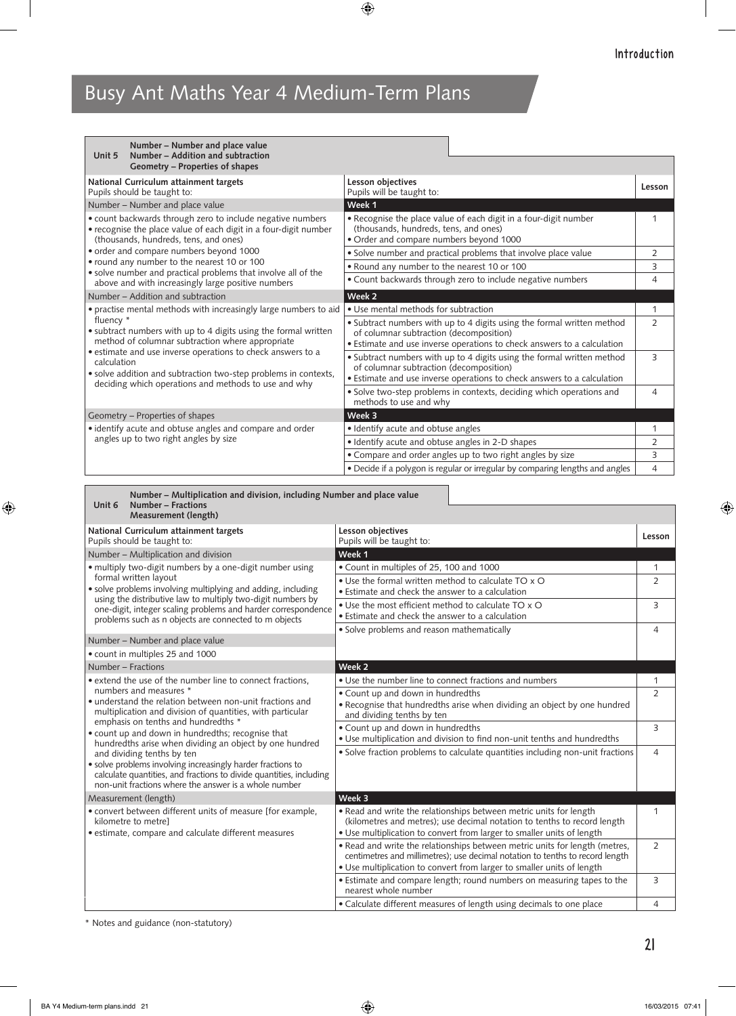| Number - Number and place value<br>Number – Addition and subtraction<br>Unit 5<br>Geometry - Properties of shapes                                                                                     |                                                                                                                                                                                              |               |
|-------------------------------------------------------------------------------------------------------------------------------------------------------------------------------------------------------|----------------------------------------------------------------------------------------------------------------------------------------------------------------------------------------------|---------------|
| National Curriculum attainment targets<br>Pupils should be taught to:                                                                                                                                 | Lesson objectives<br>Pupils will be taught to:                                                                                                                                               | Lesson        |
| Number - Number and place value                                                                                                                                                                       | Week 1                                                                                                                                                                                       |               |
| • count backwards through zero to include negative numbers<br>• recognise the place value of each digit in a four-digit number<br>(thousands, hundreds, tens, and ones)                               | • Recognise the place value of each digit in a four-digit number<br>(thousands, hundreds, tens, and ones)<br>• Order and compare numbers beyond 1000                                         |               |
| • order and compare numbers beyond 1000                                                                                                                                                               | · Solve number and practical problems that involve place value                                                                                                                               | 2             |
| • round any number to the nearest 10 or 100<br>· solve number and practical problems that involve all of the                                                                                          | . Round any number to the nearest 10 or 100                                                                                                                                                  | 3             |
| above and with increasingly large positive numbers                                                                                                                                                    | • Count backwards through zero to include negative numbers                                                                                                                                   | 4             |
| Number – Addition and subtraction                                                                                                                                                                     | Week 2                                                                                                                                                                                       |               |
| • practise mental methods with increasingly large numbers to aid<br>fluency *<br>• subtract numbers with up to 4 digits using the formal written<br>method of columnar subtraction where appropriate  | • Use mental methods for subtraction                                                                                                                                                         | 1             |
|                                                                                                                                                                                                       | • Subtract numbers with up to 4 digits using the formal written method<br>of columnar subtraction (decomposition)<br>• Estimate and use inverse operations to check answers to a calculation | $\mathcal{P}$ |
| • estimate and use inverse operations to check answers to a<br>calculation<br>· solve addition and subtraction two-step problems in contexts,<br>deciding which operations and methods to use and why | • Subtract numbers with up to 4 digits using the formal written method<br>of columnar subtraction (decomposition)<br>• Estimate and use inverse operations to check answers to a calculation | 3             |
|                                                                                                                                                                                                       | · Solve two-step problems in contexts, deciding which operations and<br>methods to use and why                                                                                               | 4             |
| Geometry - Properties of shapes                                                                                                                                                                       | Week 3                                                                                                                                                                                       |               |
| • identify acute and obtuse angles and compare and order                                                                                                                                              | • Identify acute and obtuse angles                                                                                                                                                           | 1             |
| angles up to two right angles by size                                                                                                                                                                 | · Identify acute and obtuse angles in 2-D shapes                                                                                                                                             | 2             |
|                                                                                                                                                                                                       | • Compare and order angles up to two right angles by size                                                                                                                                    | 3             |
|                                                                                                                                                                                                       | • Decide if a polygon is regular or irregular by comparing lengths and angles                                                                                                                | 4             |

**Unit 6 Number – Multiplication and division, including Number and place value Number – Fractions**

| <b>Measurement (length)</b>                                                                                                                                                                 |                                                                                                                                                                                                                                        |                |
|---------------------------------------------------------------------------------------------------------------------------------------------------------------------------------------------|----------------------------------------------------------------------------------------------------------------------------------------------------------------------------------------------------------------------------------------|----------------|
| National Curriculum attainment targets<br>Pupils should be taught to:                                                                                                                       | Lesson objectives<br>Pupils will be taught to:                                                                                                                                                                                         | Lesson         |
| Number - Multiplication and division                                                                                                                                                        | Week 1                                                                                                                                                                                                                                 |                |
| • multiply two-digit numbers by a one-digit number using                                                                                                                                    | • Count in multiples of 25, 100 and 1000                                                                                                                                                                                               | 1              |
| formal written layout<br>· solve problems involving multiplying and adding, including<br>using the distributive law to multiply two-digit numbers by                                        | • Use the formal written method to calculate TO x O<br>• Estimate and check the answer to a calculation                                                                                                                                | $\overline{2}$ |
| one-digit, integer scaling problems and harder correspondence<br>problems such as n objects are connected to m objects                                                                      | • Use the most efficient method to calculate TO x O<br>• Estimate and check the answer to a calculation                                                                                                                                | 3              |
|                                                                                                                                                                                             | • Solve problems and reason mathematically                                                                                                                                                                                             | 4              |
| Number - Number and place value                                                                                                                                                             |                                                                                                                                                                                                                                        |                |
| • count in multiples 25 and 1000                                                                                                                                                            |                                                                                                                                                                                                                                        |                |
| Number - Fractions                                                                                                                                                                          | Week 2                                                                                                                                                                                                                                 |                |
| • extend the use of the number line to connect fractions,                                                                                                                                   | • Use the number line to connect fractions and numbers                                                                                                                                                                                 | 1              |
| numbers and measures *<br>• understand the relation between non-unit fractions and<br>multiplication and division of quantities, with particular<br>emphasis on tenths and hundredths *     | • Count up and down in hundredths                                                                                                                                                                                                      | $\overline{2}$ |
|                                                                                                                                                                                             | • Recognise that hundredths arise when dividing an object by one hundred<br>and dividing tenths by ten                                                                                                                                 |                |
|                                                                                                                                                                                             | • Count up and down in hundredths                                                                                                                                                                                                      | 3              |
| • count up and down in hundredths; recognise that<br>hundredths arise when dividing an object by one hundred                                                                                | • Use multiplication and division to find non-unit tenths and hundredths                                                                                                                                                               |                |
| and dividing tenths by ten                                                                                                                                                                  | • Solve fraction problems to calculate quantities including non-unit fractions                                                                                                                                                         | 4              |
| · solve problems involving increasingly harder fractions to<br>calculate quantities, and fractions to divide quantities, including<br>non-unit fractions where the answer is a whole number |                                                                                                                                                                                                                                        |                |
| Measurement (length)                                                                                                                                                                        | Week 3                                                                                                                                                                                                                                 |                |
| • convert between different units of measure [for example,<br>kilometre to metrel<br>• estimate, compare and calculate different measures                                                   | . Read and write the relationships between metric units for length<br>(kilometres and metres); use decimal notation to tenths to record length<br>• Use multiplication to convert from larger to smaller units of length               | 1              |
|                                                                                                                                                                                             | . Read and write the relationships between metric units for length (metres,<br>centimetres and millimetres); use decimal notation to tenths to record length<br>• Use multiplication to convert from larger to smaller units of length | $\overline{2}$ |
|                                                                                                                                                                                             | • Estimate and compare length; round numbers on measuring tapes to the<br>nearest whole number                                                                                                                                         | 3              |
|                                                                                                                                                                                             | • Calculate different measures of length using decimals to one place                                                                                                                                                                   | $\overline{4}$ |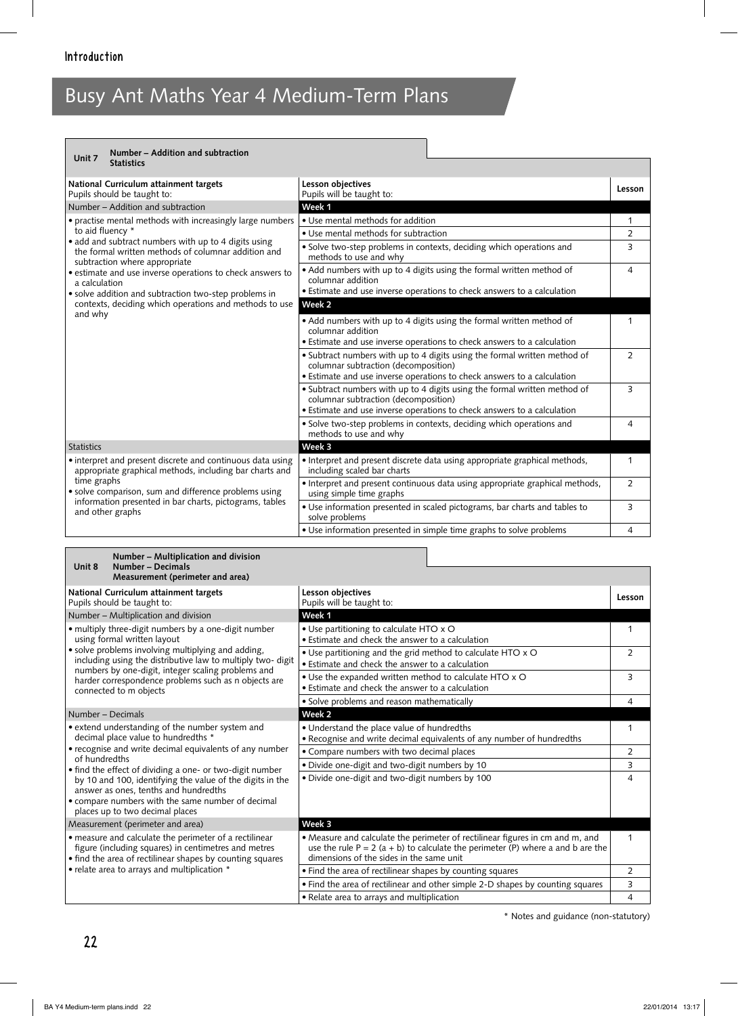| Number - Addition and subtraction<br>Unit 7                                                                                                  |                                                                                                                                                                                              |                |
|----------------------------------------------------------------------------------------------------------------------------------------------|----------------------------------------------------------------------------------------------------------------------------------------------------------------------------------------------|----------------|
| <b>Statistics</b>                                                                                                                            |                                                                                                                                                                                              |                |
| National Curriculum attainment targets<br>Pupils should be taught to:                                                                        | Lesson objectives<br>Pupils will be taught to:                                                                                                                                               | Lesson         |
| Number – Addition and subtraction                                                                                                            | Week 1                                                                                                                                                                                       |                |
| • practise mental methods with increasingly large numbers                                                                                    | • Use mental methods for addition                                                                                                                                                            | 1              |
| to aid fluency *                                                                                                                             | • Use mental methods for subtraction                                                                                                                                                         | 2              |
| • add and subtract numbers with up to 4 digits using<br>the formal written methods of columnar addition and<br>subtraction where appropriate | • Solve two-step problems in contexts, deciding which operations and<br>methods to use and why                                                                                               | 3              |
| • estimate and use inverse operations to check answers to<br>a calculation                                                                   | • Add numbers with up to 4 digits using the formal written method of<br>columnar addition                                                                                                    | 4              |
| • solve addition and subtraction two-step problems in                                                                                        | • Estimate and use inverse operations to check answers to a calculation                                                                                                                      |                |
| contexts, deciding which operations and methods to use<br>and why                                                                            | Week 2                                                                                                                                                                                       |                |
|                                                                                                                                              | • Add numbers with up to 4 digits using the formal written method of<br>columnar addition                                                                                                    | 1              |
|                                                                                                                                              | • Estimate and use inverse operations to check answers to a calculation                                                                                                                      |                |
|                                                                                                                                              | • Subtract numbers with up to 4 digits using the formal written method of<br>columnar subtraction (decomposition)                                                                            | $\overline{2}$ |
|                                                                                                                                              | • Estimate and use inverse operations to check answers to a calculation                                                                                                                      | 3              |
|                                                                                                                                              | • Subtract numbers with up to 4 digits using the formal written method of<br>columnar subtraction (decomposition)<br>• Estimate and use inverse operations to check answers to a calculation |                |
|                                                                                                                                              | • Solve two-step problems in contexts, deciding which operations and                                                                                                                         | 4              |
|                                                                                                                                              | methods to use and why                                                                                                                                                                       |                |
| <b>Statistics</b>                                                                                                                            | Week 3                                                                                                                                                                                       |                |
| • interpret and present discrete and continuous data using<br>appropriate graphical methods, including bar charts and                        | • Interpret and present discrete data using appropriate graphical methods,<br>including scaled bar charts                                                                                    | 1              |
| time graphs<br>· solve comparison, sum and difference problems using                                                                         | • Interpret and present continuous data using appropriate graphical methods,<br>using simple time graphs                                                                                     | $\overline{2}$ |
| information presented in bar charts, pictograms, tables<br>and other graphs                                                                  | • Use information presented in scaled pictograms, bar charts and tables to<br>solve problems                                                                                                 | 3              |
|                                                                                                                                              | • Use information presented in simple time graphs to solve problems                                                                                                                          | 4              |

| Number - Multiplication and division<br>Number - Decimals<br>Unit 8<br>Measurement (perimeter and area)                                                                                                                                                                                                                                                                                                                      |                                                                                                                                                                                                                |                |
|------------------------------------------------------------------------------------------------------------------------------------------------------------------------------------------------------------------------------------------------------------------------------------------------------------------------------------------------------------------------------------------------------------------------------|----------------------------------------------------------------------------------------------------------------------------------------------------------------------------------------------------------------|----------------|
| National Curriculum attainment targets<br>Pupils should be taught to:                                                                                                                                                                                                                                                                                                                                                        | Lesson objectives<br>Pupils will be taught to:                                                                                                                                                                 | Lesson         |
| Number - Multiplication and division                                                                                                                                                                                                                                                                                                                                                                                         | Week 1                                                                                                                                                                                                         |                |
| • multiply three-digit numbers by a one-digit number<br>using formal written layout<br>· solve problems involving multiplying and adding,<br>including using the distributive law to multiply two- digit<br>numbers by one-digit, integer scaling problems and<br>harder correspondence problems such as n objects are<br>connected to m objects                                                                             | • Use partitioning to calculate HTO x O<br>• Estimate and check the answer to a calculation                                                                                                                    |                |
|                                                                                                                                                                                                                                                                                                                                                                                                                              | . Use partitioning and the grid method to calculate HTO x O<br>• Estimate and check the answer to a calculation                                                                                                | $\overline{2}$ |
|                                                                                                                                                                                                                                                                                                                                                                                                                              | . Use the expanded written method to calculate HTO x O<br>• Estimate and check the answer to a calculation                                                                                                     | 3              |
|                                                                                                                                                                                                                                                                                                                                                                                                                              | • Solve problems and reason mathematically                                                                                                                                                                     | 4              |
| Number – Decimals                                                                                                                                                                                                                                                                                                                                                                                                            | Week 2                                                                                                                                                                                                         |                |
| • extend understanding of the number system and<br>decimal place value to hundredths *<br>• recognise and write decimal equivalents of any number<br>of hundredths<br>• find the effect of dividing a one- or two-digit number<br>by 10 and 100, identifying the value of the digits in the<br>answer as ones, tenths and hundredths<br>• compare numbers with the same number of decimal<br>places up to two decimal places | • Understand the place value of hundredths<br>• Recognise and write decimal equivalents of any number of hundredths                                                                                            |                |
|                                                                                                                                                                                                                                                                                                                                                                                                                              | • Compare numbers with two decimal places                                                                                                                                                                      | 2              |
|                                                                                                                                                                                                                                                                                                                                                                                                                              | · Divide one-digit and two-digit numbers by 10                                                                                                                                                                 | 3              |
|                                                                                                                                                                                                                                                                                                                                                                                                                              | . Divide one-digit and two-digit numbers by 100                                                                                                                                                                | 4              |
| Measurement (perimeter and area)                                                                                                                                                                                                                                                                                                                                                                                             | Week 3                                                                                                                                                                                                         |                |
| • measure and calculate the perimeter of a rectilinear<br>figure (including squares) in centimetres and metres<br>• find the area of rectilinear shapes by counting squares<br>• relate area to arrays and multiplication *                                                                                                                                                                                                  | • Measure and calculate the perimeter of rectilinear figures in cm and m, and<br>use the rule $P = 2$ (a + b) to calculate the perimeter (P) where a and b are the<br>dimensions of the sides in the same unit |                |
|                                                                                                                                                                                                                                                                                                                                                                                                                              | • Find the area of rectilinear shapes by counting squares                                                                                                                                                      | $\overline{2}$ |
|                                                                                                                                                                                                                                                                                                                                                                                                                              | • Find the area of rectilinear and other simple 2-D shapes by counting squares                                                                                                                                 | 3              |
|                                                                                                                                                                                                                                                                                                                                                                                                                              | • Relate area to arrays and multiplication                                                                                                                                                                     | $\overline{4}$ |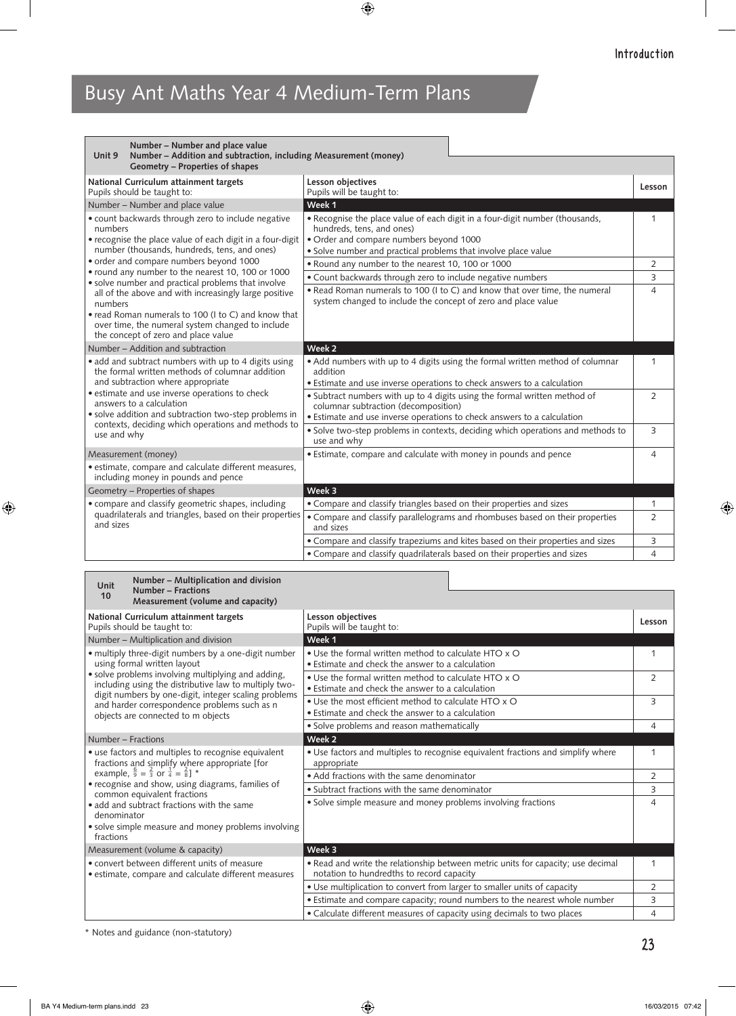| Number - Number and place value<br>Number - Addition and subtraction, including Measurement (money)<br>Unit 9<br>Geometry - Properties of shapes                                                                                                                                                                                                         |                                                                                                                                                                                                                        |                |  |
|----------------------------------------------------------------------------------------------------------------------------------------------------------------------------------------------------------------------------------------------------------------------------------------------------------------------------------------------------------|------------------------------------------------------------------------------------------------------------------------------------------------------------------------------------------------------------------------|----------------|--|
| National Curriculum attainment targets<br>Pupils should be taught to:                                                                                                                                                                                                                                                                                    | Lesson objectives<br>Pupils will be taught to:                                                                                                                                                                         | Lesson         |  |
| Number - Number and place value                                                                                                                                                                                                                                                                                                                          | Week 1                                                                                                                                                                                                                 |                |  |
| • count backwards through zero to include negative<br>numbers<br>• recognise the place value of each digit in a four-digit<br>number (thousands, hundreds, tens, and ones)                                                                                                                                                                               | • Recognise the place value of each digit in a four-digit number (thousands,<br>hundreds, tens, and ones)<br>· Order and compare numbers beyond 1000<br>• Solve number and practical problems that involve place value | 1              |  |
| · order and compare numbers beyond 1000                                                                                                                                                                                                                                                                                                                  | . Round any number to the nearest 10, 100 or 1000                                                                                                                                                                      | $\overline{2}$ |  |
| • round any number to the nearest 10, 100 or 1000                                                                                                                                                                                                                                                                                                        | • Count backwards through zero to include negative numbers                                                                                                                                                             | 3              |  |
| · solve number and practical problems that involve<br>all of the above and with increasingly large positive<br>numbers<br>• read Roman numerals to 100 (I to C) and know that<br>over time, the numeral system changed to include<br>the concept of zero and place value                                                                                 | • Read Roman numerals to 100 (I to C) and know that over time, the numeral<br>system changed to include the concept of zero and place value                                                                            | $\overline{4}$ |  |
| Number – Addition and subtraction                                                                                                                                                                                                                                                                                                                        | Week 2                                                                                                                                                                                                                 |                |  |
| • add and subtract numbers with up to 4 digits using<br>the formal written methods of columnar addition<br>and subtraction where appropriate<br>• estimate and use inverse operations to check<br>answers to a calculation<br>• solve addition and subtraction two-step problems in<br>contexts, deciding which operations and methods to<br>use and why | • Add numbers with up to 4 digits using the formal written method of columnar<br>addition<br>• Estimate and use inverse operations to check answers to a calculation                                                   | 1              |  |
|                                                                                                                                                                                                                                                                                                                                                          | • Subtract numbers with up to 4 digits using the formal written method of<br>columnar subtraction (decomposition)<br>• Estimate and use inverse operations to check answers to a calculation                           | $\overline{2}$ |  |
|                                                                                                                                                                                                                                                                                                                                                          | · Solve two-step problems in contexts, deciding which operations and methods to<br>use and why                                                                                                                         | 3              |  |
| Measurement (money)                                                                                                                                                                                                                                                                                                                                      | • Estimate, compare and calculate with money in pounds and pence                                                                                                                                                       | 4              |  |
| · estimate, compare and calculate different measures,<br>including money in pounds and pence                                                                                                                                                                                                                                                             |                                                                                                                                                                                                                        |                |  |
| Geometry - Properties of shapes                                                                                                                                                                                                                                                                                                                          | Week 3                                                                                                                                                                                                                 |                |  |
| • compare and classify geometric shapes, including                                                                                                                                                                                                                                                                                                       | • Compare and classify triangles based on their properties and sizes                                                                                                                                                   | 1              |  |
| quadrilaterals and triangles, based on their properties<br>and sizes                                                                                                                                                                                                                                                                                     | • Compare and classify parallelograms and rhombuses based on their properties<br>and sizes                                                                                                                             | $\overline{2}$ |  |
|                                                                                                                                                                                                                                                                                                                                                          | • Compare and classify trapeziums and kites based on their properties and sizes                                                                                                                                        | 3              |  |
|                                                                                                                                                                                                                                                                                                                                                          | • Compare and classify quadrilaterals based on their properties and sizes                                                                                                                                              | $\overline{4}$ |  |

| Number – Multiplication and division<br>Unit<br><b>Number - Fractions</b><br>10<br>Measurement (volume and capacity)<br>Lesson objectives<br>Lesson<br>Pupils will be taught to:<br>Week 1<br>• Use the formal written method to calculate HTO x O<br>1<br>using formal written layout<br>• Estimate and check the answer to a calculation<br>. Use the formal written method to calculate HTO x O<br>$\overline{2}$<br>including using the distributive law to multiply two-<br>• Estimate and check the answer to a calculation<br>digit numbers by one-digit, integer scaling problems<br>• Use the most efficient method to calculate HTO x O<br>3<br>and harder correspondence problems such as n<br>• Estimate and check the answer to a calculation<br>objects are connected to m objects<br>· Solve problems and reason mathematically<br>4<br>Week 2<br>. Use factors and multiples to recognise equivalent fractions and simplify where<br>1<br>fractions and simplify where appropriate [for<br>appropriate<br>example, $\frac{6}{9} = \frac{2}{3}$ or $\frac{1}{4} = \frac{2}{8}$ ] *<br>• Add fractions with the same denominator<br>$\overline{2}$<br>• Subtract fractions with the same denominator<br>3<br>common equivalent fractions<br>· Solve simple measure and money problems involving fractions<br>4<br>denominator<br>fractions<br>Week 3<br>. Read and write the relationship between metric units for capacity; use decimal<br>1<br>notation to hundredths to record capacity<br>• Use multiplication to convert from larger to smaller units of capacity<br>$\overline{2}$<br>• Estimate and compare capacity; round numbers to the nearest whole number<br>3 |                                                                                                                                                        |                                                                         |   |
|-------------------------------------------------------------------------------------------------------------------------------------------------------------------------------------------------------------------------------------------------------------------------------------------------------------------------------------------------------------------------------------------------------------------------------------------------------------------------------------------------------------------------------------------------------------------------------------------------------------------------------------------------------------------------------------------------------------------------------------------------------------------------------------------------------------------------------------------------------------------------------------------------------------------------------------------------------------------------------------------------------------------------------------------------------------------------------------------------------------------------------------------------------------------------------------------------------------------------------------------------------------------------------------------------------------------------------------------------------------------------------------------------------------------------------------------------------------------------------------------------------------------------------------------------------------------------------------------------------------------------------------------------------------------------------------------|--------------------------------------------------------------------------------------------------------------------------------------------------------|-------------------------------------------------------------------------|---|
|                                                                                                                                                                                                                                                                                                                                                                                                                                                                                                                                                                                                                                                                                                                                                                                                                                                                                                                                                                                                                                                                                                                                                                                                                                                                                                                                                                                                                                                                                                                                                                                                                                                                                           |                                                                                                                                                        |                                                                         |   |
|                                                                                                                                                                                                                                                                                                                                                                                                                                                                                                                                                                                                                                                                                                                                                                                                                                                                                                                                                                                                                                                                                                                                                                                                                                                                                                                                                                                                                                                                                                                                                                                                                                                                                           |                                                                                                                                                        |                                                                         |   |
|                                                                                                                                                                                                                                                                                                                                                                                                                                                                                                                                                                                                                                                                                                                                                                                                                                                                                                                                                                                                                                                                                                                                                                                                                                                                                                                                                                                                                                                                                                                                                                                                                                                                                           | National Curriculum attainment targets<br>Pupils should be taught to:                                                                                  |                                                                         |   |
|                                                                                                                                                                                                                                                                                                                                                                                                                                                                                                                                                                                                                                                                                                                                                                                                                                                                                                                                                                                                                                                                                                                                                                                                                                                                                                                                                                                                                                                                                                                                                                                                                                                                                           | Number - Multiplication and division                                                                                                                   |                                                                         |   |
|                                                                                                                                                                                                                                                                                                                                                                                                                                                                                                                                                                                                                                                                                                                                                                                                                                                                                                                                                                                                                                                                                                                                                                                                                                                                                                                                                                                                                                                                                                                                                                                                                                                                                           | • multiply three-digit numbers by a one-digit number<br>• solve problems involving multiplying and adding,                                             |                                                                         |   |
|                                                                                                                                                                                                                                                                                                                                                                                                                                                                                                                                                                                                                                                                                                                                                                                                                                                                                                                                                                                                                                                                                                                                                                                                                                                                                                                                                                                                                                                                                                                                                                                                                                                                                           |                                                                                                                                                        |                                                                         |   |
|                                                                                                                                                                                                                                                                                                                                                                                                                                                                                                                                                                                                                                                                                                                                                                                                                                                                                                                                                                                                                                                                                                                                                                                                                                                                                                                                                                                                                                                                                                                                                                                                                                                                                           |                                                                                                                                                        |                                                                         |   |
|                                                                                                                                                                                                                                                                                                                                                                                                                                                                                                                                                                                                                                                                                                                                                                                                                                                                                                                                                                                                                                                                                                                                                                                                                                                                                                                                                                                                                                                                                                                                                                                                                                                                                           |                                                                                                                                                        |                                                                         |   |
|                                                                                                                                                                                                                                                                                                                                                                                                                                                                                                                                                                                                                                                                                                                                                                                                                                                                                                                                                                                                                                                                                                                                                                                                                                                                                                                                                                                                                                                                                                                                                                                                                                                                                           | Number – Fractions                                                                                                                                     |                                                                         |   |
|                                                                                                                                                                                                                                                                                                                                                                                                                                                                                                                                                                                                                                                                                                                                                                                                                                                                                                                                                                                                                                                                                                                                                                                                                                                                                                                                                                                                                                                                                                                                                                                                                                                                                           | • use factors and multiples to recognise equivalent<br>• recognise and show, using diagrams, families of<br>• add and subtract fractions with the same |                                                                         |   |
|                                                                                                                                                                                                                                                                                                                                                                                                                                                                                                                                                                                                                                                                                                                                                                                                                                                                                                                                                                                                                                                                                                                                                                                                                                                                                                                                                                                                                                                                                                                                                                                                                                                                                           |                                                                                                                                                        |                                                                         |   |
|                                                                                                                                                                                                                                                                                                                                                                                                                                                                                                                                                                                                                                                                                                                                                                                                                                                                                                                                                                                                                                                                                                                                                                                                                                                                                                                                                                                                                                                                                                                                                                                                                                                                                           |                                                                                                                                                        |                                                                         |   |
|                                                                                                                                                                                                                                                                                                                                                                                                                                                                                                                                                                                                                                                                                                                                                                                                                                                                                                                                                                                                                                                                                                                                                                                                                                                                                                                                                                                                                                                                                                                                                                                                                                                                                           |                                                                                                                                                        |                                                                         |   |
|                                                                                                                                                                                                                                                                                                                                                                                                                                                                                                                                                                                                                                                                                                                                                                                                                                                                                                                                                                                                                                                                                                                                                                                                                                                                                                                                                                                                                                                                                                                                                                                                                                                                                           | • solve simple measure and money problems involving                                                                                                    |                                                                         |   |
|                                                                                                                                                                                                                                                                                                                                                                                                                                                                                                                                                                                                                                                                                                                                                                                                                                                                                                                                                                                                                                                                                                                                                                                                                                                                                                                                                                                                                                                                                                                                                                                                                                                                                           | Measurement (volume & capacity)                                                                                                                        |                                                                         |   |
|                                                                                                                                                                                                                                                                                                                                                                                                                                                                                                                                                                                                                                                                                                                                                                                                                                                                                                                                                                                                                                                                                                                                                                                                                                                                                                                                                                                                                                                                                                                                                                                                                                                                                           | • convert between different units of measure<br>• estimate, compare and calculate different measures                                                   |                                                                         |   |
|                                                                                                                                                                                                                                                                                                                                                                                                                                                                                                                                                                                                                                                                                                                                                                                                                                                                                                                                                                                                                                                                                                                                                                                                                                                                                                                                                                                                                                                                                                                                                                                                                                                                                           |                                                                                                                                                        |                                                                         |   |
|                                                                                                                                                                                                                                                                                                                                                                                                                                                                                                                                                                                                                                                                                                                                                                                                                                                                                                                                                                                                                                                                                                                                                                                                                                                                                                                                                                                                                                                                                                                                                                                                                                                                                           |                                                                                                                                                        |                                                                         |   |
|                                                                                                                                                                                                                                                                                                                                                                                                                                                                                                                                                                                                                                                                                                                                                                                                                                                                                                                                                                                                                                                                                                                                                                                                                                                                                                                                                                                                                                                                                                                                                                                                                                                                                           |                                                                                                                                                        | • Calculate different measures of capacity using decimals to two places | 4 |